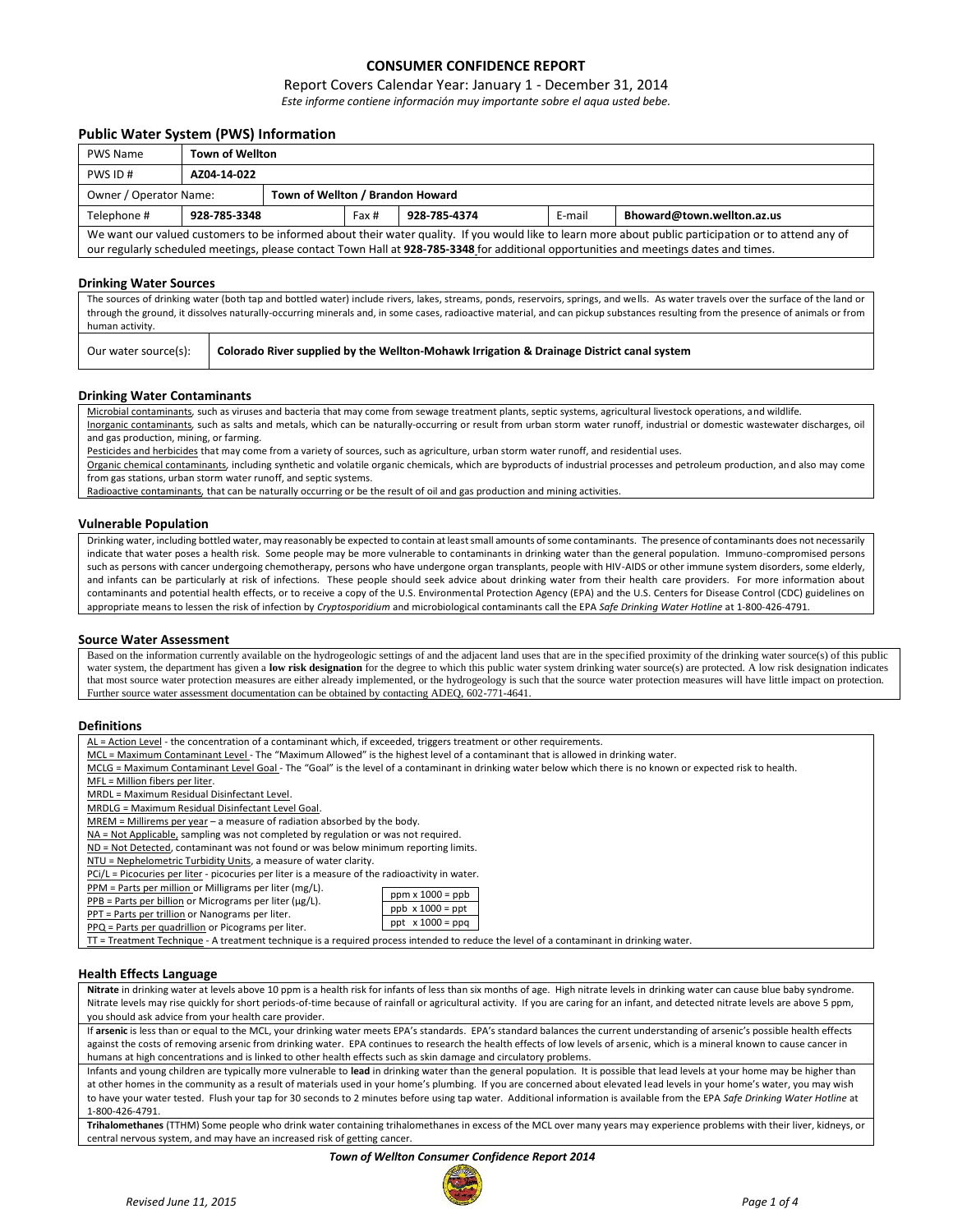# **CONSUMER CONFIDENCE REPORT**

## Report Covers Calendar Year: January 1 - December 31, 2014

*Este informe contiene información muy importante sobre el aqua usted bebe.*

### **Public Water System (PWS) Information**

| <b>PWS Name</b>                                                                                                                                                                                                                                                                                | <b>Town of Wellton</b>                                                        |  |  |  |  |  |  |
|------------------------------------------------------------------------------------------------------------------------------------------------------------------------------------------------------------------------------------------------------------------------------------------------|-------------------------------------------------------------------------------|--|--|--|--|--|--|
| PWS ID#                                                                                                                                                                                                                                                                                        | AZ04-14-022                                                                   |  |  |  |  |  |  |
| Owner / Operator Name:                                                                                                                                                                                                                                                                         | Town of Wellton / Brandon Howard                                              |  |  |  |  |  |  |
| Telephone #                                                                                                                                                                                                                                                                                    | E-mail<br>Bhoward@town.wellton.az.us<br>928-785-3348<br>928-785-4374<br>Fax # |  |  |  |  |  |  |
| We want our valued customers to be informed about their water quality. If you would like to learn more about public participation or to attend any of<br>our regularly scheduled meetings, please contact Town Hall at 928-785-3348 for additional opportunities and meetings dates and times. |                                                                               |  |  |  |  |  |  |
|                                                                                                                                                                                                                                                                                                |                                                                               |  |  |  |  |  |  |

#### **Drinking Water Sources**

The sources of drinking water (both tap and bottled water) include rivers, lakes, streams, ponds, reservoirs, springs, and wells. As water travels over the surface of the land or through the ground, it dissolves naturally-occurring minerals and, in some cases, radioactive material, and can pickup substances resulting from the presence of animals or from human activity.

| Our water source(s): | Colorado River supplied by the Wellton-Mohawk Irrigation & Drainage District canal system |
|----------------------|-------------------------------------------------------------------------------------------|
|----------------------|-------------------------------------------------------------------------------------------|

#### **Drinking Water Contaminants**

Microbial contaminants*,* such as viruses and bacteria that may come from sewage treatment plants, septic systems, agricultural livestock operations, and wildlife*.* Inorganic contaminants*,* such as salts and metals, which can be naturally-occurring or result from urban storm water runoff, industrial or domestic wastewater discharges, oil and gas production, mining, or farming.

Pesticides and herbicides that may come from a variety of sources, such as agriculture, urban storm water runoff, and residential uses.

Organic chemical contaminants*,* including synthetic and volatile organic chemicals, which are byproducts of industrial processes and petroleum production, and also may come from gas stations, urban storm water runoff, and septic systems.

Radioactive contaminants*,* that can be naturally occurring or be the result of oil and gas production and mining activities.

#### **Vulnerable Population**

Drinking water, including bottled water, may reasonably be expected to contain at least small amounts of some contaminants. The presence of contaminants does not necessarily indicate that water poses a health risk. Some people may be more vulnerable to contaminants in drinking water than the general population. Immuno-compromised persons such as persons with cancer undergoing chemotherapy, persons who have undergone organ transplants, people with HIV-AIDS or other immune system disorders, some elderly, and infants can be particularly at risk of infections. These people should seek advice about drinking water from their health care providers. For more information about contaminants and potential health effects, or to receive a copy of the U.S. Environmental Protection Agency (EPA) and the U.S. Centers for Disease Control (CDC) guidelines on appropriate means to lessen the risk of infection by *Cryptosporidium* and microbiological contaminants call the EPA *Safe Drinking Water Hotline* at 1-800-426-4791.

#### **Source Water Assessment**

Based on the information currently available on the hydrogeologic settings of and the adjacent land uses that are in the specified proximity of the drinking water source(s) of this public water system, the department has given a low risk designation for the degree to which this public water system drinking water source(s) are protected. A low risk designation indicates that most source water protection measures are either already implemented, or the hydrogeology is such that the source water protection measures will have little impact on protection. Further source water assessment documentation can be obtained by contacting ADEQ, 602-771-4641.

#### **Definitions**

 $PPQ = Par$ 

AL = Action Level - the concentration of a contaminant which, if exceeded, triggers treatment or other requirements.

- MCL = Maximum Contaminant Level The "Maximum Allowed" is the highest level of a contaminant that is allowed in drinking water.
- MCLG = Maximum Contaminant Level Goal The "Goal" is the level of a contaminant in drinking water below which there is no known or expected risk to health.

MFL = Million fibers per liter.

MRDL = Maximum Residual Disinfectant Level.

MRDLG = Maximum Residual Disinfectant Level Goal.

MREM = Millirems per year - a measure of radiation absorbed by the body.

NA = Not Applicable, sampling was not completed by regulation or was not required.

ND = Not Detected, contaminant was not found or was below minimum reporting limits.

NTU = Nephelometric Turbidity Units, a measure of water clarity.

PCi/L = Picocuries per liter - picocuries per liter is a measure of the radioactivity in water.

PPM = Parts per million or Milligrams per liter (mg/L). ppm x 1000 = ppb

|  | $\frac{1}{2}$ T M $\frac{1}{2}$ and $\frac{1}{2}$ be the model of the model of the set of the set of the set of the set of the set of the set of the set of the set of the set of the set of the set of the set of the set of the set of                                                                                                                                                                               |
|--|------------------------------------------------------------------------------------------------------------------------------------------------------------------------------------------------------------------------------------------------------------------------------------------------------------------------------------------------------------------------------------------------------------------------|
|  | $\mathbf{R} \mathbf{R} \mathbf{R} \mathbf{R} \mathbf{R} \mathbf{R} \mathbf{R} \mathbf{R} \mathbf{R} \mathbf{R} \mathbf{R} \mathbf{R} \mathbf{R} \mathbf{R} \mathbf{R} \mathbf{R} \mathbf{R} \mathbf{R} \mathbf{R} \mathbf{R} \mathbf{R} \mathbf{R} \mathbf{R} \mathbf{R} \mathbf{R} \mathbf{R} \mathbf{R} \mathbf{R} \mathbf{R} \mathbf{R} \mathbf{R} \mathbf{R} \mathbf{R} \mathbf{R} \mathbf{R} \mathbf{R} \mathbf{$ |

|  |                                                  | PPB = Parts per billion or Micrograms per liter ( $\mu$ g/L). |
|--|--------------------------------------------------|---------------------------------------------------------------|
|  | PPT = Parts per trillion or Nanograms per liter. |                                                               |

| ts per billion or Micrograms per liter (µg/L). |                         |
|------------------------------------------------|-------------------------|
| ts per trillion or Nanograms per liter.        | $ppb \times 1000 = ppt$ |
| ts per quadrillion or Picograms per liter.     | ppt $x 1000 = ppq$      |
|                                                |                         |

TT = Treatment Technique - A treatment technique is a required process intended to reduce the level of a contaminant in drinking water.

#### **Health Effects Language**

**Nitrate** in drinking water at levels above 10 ppm is a health risk for infants of less than six months of age. High nitrate levels in drinking water can cause blue baby syndrome. Nitrate levels may rise quickly for short periods-of-time because of rainfall or agricultural activity. If you are caring for an infant, and detected nitrate levels are above 5 ppm, you should ask advice from your health care provider.

If arsenic is less than or equal to the MCL, your drinking water meets EPA's standards. EPA's standard balances the current understanding of arsenic's possible health effects against the costs of removing arsenic from drinking water. EPA continues to research the health effects of low levels of arsenic, which is a mineral known to cause cancer in humans at high concentrations and is linked to other health effects such as skin damage and circulatory problems.

Infants and young children are typically more vulnerable to **lead** in drinking water than the general population. It is possible that lead levels at your home may be higher than at other homes in the community as a result of materials used in your home's plumbing. If you are concerned about elevated lead levels in your home's water, you may wish to have your water tested. Flush your tap for 30 seconds to 2 minutes before using tap water. Additional information is available from the EPA *Safe Drinking Water Hotline* at 1-800-426-4791.

**Trihalomethanes** (TTHM) Some people who drink water containing trihalomethanes in excess of the MCL over many years may experience problems with their liver, kidneys, or central nervous system, and may have an increased risk of getting cancer.

#### *Town of Wellton Consumer Confidence Report 2014*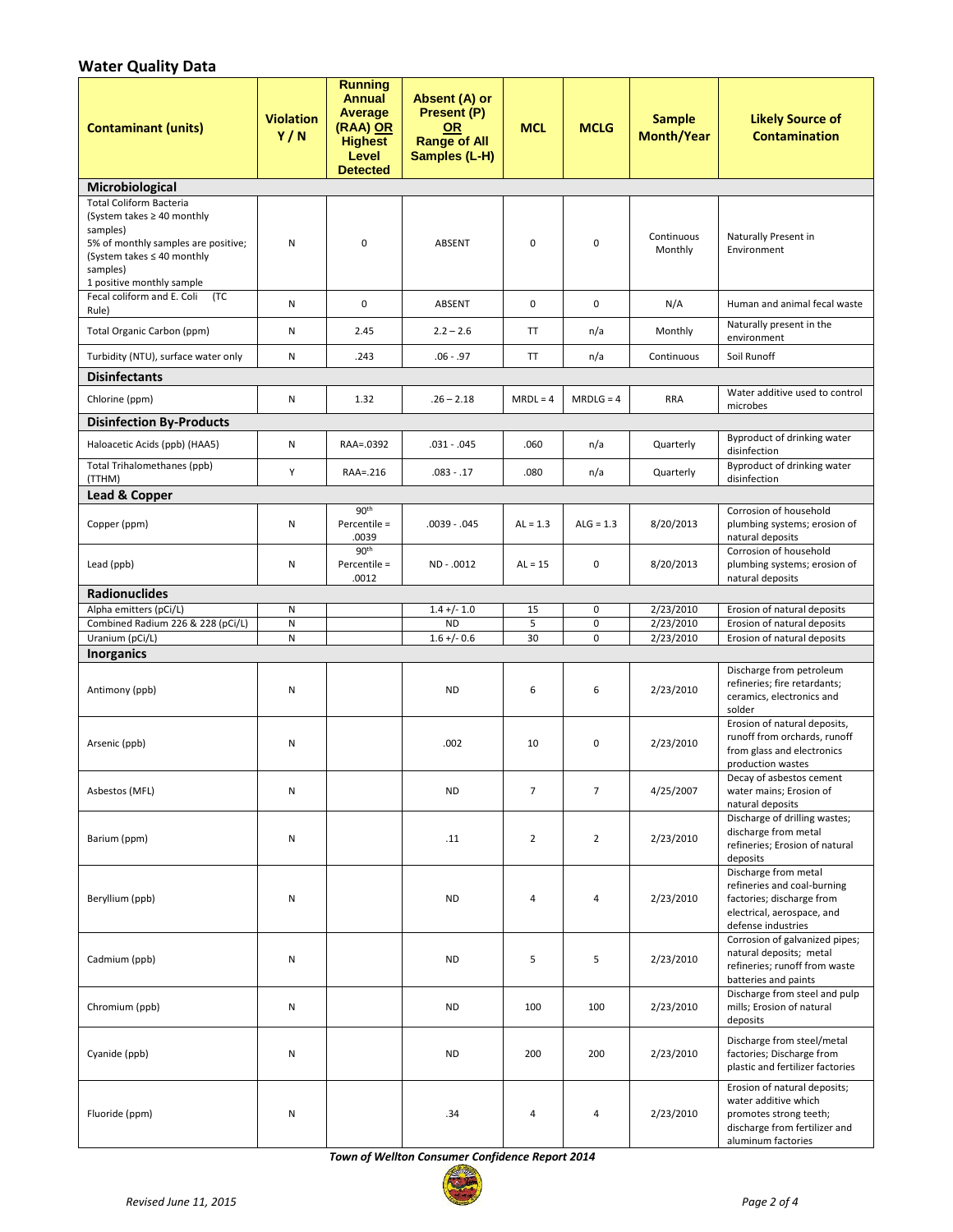# **Water Quality Data**

| <b>Contaminant (units)</b>                                                                                                                                                                  | <b>Violation</b><br>Y/N | <b>Running</b><br><b>Annual</b><br>Average<br>(RAA) OR<br><b>Highest</b><br>Level<br><b>Detected</b> | Absent (A) or<br>Present (P)<br><b>OR</b><br><b>Range of All</b><br>Samples (L-H) | <b>MCL</b>     | <b>MCLG</b>    | <b>Sample</b><br><b>Month/Year</b> | <b>Likely Source of</b><br><b>Contamination</b>                                                                                       |
|---------------------------------------------------------------------------------------------------------------------------------------------------------------------------------------------|-------------------------|------------------------------------------------------------------------------------------------------|-----------------------------------------------------------------------------------|----------------|----------------|------------------------------------|---------------------------------------------------------------------------------------------------------------------------------------|
| Microbiological                                                                                                                                                                             |                         |                                                                                                      |                                                                                   |                |                |                                    |                                                                                                                                       |
| <b>Total Coliform Bacteria</b><br>(System takes $\geq 40$ monthly<br>samples)<br>5% of monthly samples are positive;<br>(System takes ≤ 40 monthly<br>samples)<br>1 positive monthly sample | Ν                       | 0                                                                                                    | ABSENT                                                                            | $\mathbf 0$    | $\mathbf 0$    | Continuous<br>Monthly              | Naturally Present in<br>Environment                                                                                                   |
| Fecal coliform and E. Coli<br>(TC                                                                                                                                                           | N                       | $\mathbf 0$                                                                                          | <b>ABSENT</b>                                                                     | $\mathbf 0$    | $\mathbf 0$    | N/A                                | Human and animal fecal waste                                                                                                          |
| Rule)<br>Total Organic Carbon (ppm)                                                                                                                                                         | N                       | 2.45                                                                                                 | $2.2 - 2.6$                                                                       | TT             | n/a            | Monthly                            | Naturally present in the                                                                                                              |
| Turbidity (NTU), surface water only                                                                                                                                                         | N                       | .243                                                                                                 | $.06 - .97$                                                                       | TT             | n/a            | Continuous                         | environment<br>Soil Runoff                                                                                                            |
| <b>Disinfectants</b>                                                                                                                                                                        |                         |                                                                                                      |                                                                                   |                |                |                                    |                                                                                                                                       |
| Chlorine (ppm)                                                                                                                                                                              | N                       | 1.32                                                                                                 | $.26 - 2.18$                                                                      | $MRDL = 4$     | $MRDLG = 4$    | <b>RRA</b>                         | Water additive used to control<br>microbes                                                                                            |
| <b>Disinfection By-Products</b>                                                                                                                                                             |                         |                                                                                                      |                                                                                   |                |                |                                    |                                                                                                                                       |
| Haloacetic Acids (ppb) (HAA5)                                                                                                                                                               | Ν                       | RAA=.0392                                                                                            | $.031 - .045$                                                                     | .060           | n/a            | Quarterly                          | Byproduct of drinking water<br>disinfection                                                                                           |
| Total Trihalomethanes (ppb)<br>(TTHM)                                                                                                                                                       | Υ                       | RAA=.216                                                                                             | $.083 - .17$                                                                      | .080           | n/a            | Quarterly                          | <b>Byproduct of drinking water</b><br>disinfection                                                                                    |
| Lead & Copper                                                                                                                                                                               |                         |                                                                                                      |                                                                                   |                |                |                                    |                                                                                                                                       |
| Copper (ppm)                                                                                                                                                                                | Ν                       | 90 <sup>th</sup><br>Percentile =<br>.0039                                                            | $.0039-.045$                                                                      | $AL = 1.3$     | $ALG = 1.3$    | 8/20/2013                          | Corrosion of household<br>plumbing systems; erosion of<br>natural deposits                                                            |
| Lead (ppb)                                                                                                                                                                                  | Ν                       | 90 <sup>th</sup><br>Percentile =<br>.0012                                                            | ND - .0012                                                                        | $AL = 15$      | 0              | 8/20/2013                          | Corrosion of household<br>plumbing systems; erosion of<br>natural deposits                                                            |
| <b>Radionuclides</b>                                                                                                                                                                        |                         |                                                                                                      |                                                                                   |                |                |                                    |                                                                                                                                       |
| Alpha emitters (pCi/L)<br>Combined Radium 226 & 228 (pCi/L)                                                                                                                                 | Ν<br>N                  |                                                                                                      | $1.4 +/- 1.0$<br><b>ND</b>                                                        | 15<br>5        | 0<br>$\pmb{0}$ | 2/23/2010<br>2/23/2010             | Erosion of natural deposits<br>Erosion of natural deposits                                                                            |
| Uranium (pCi/L)                                                                                                                                                                             | N                       |                                                                                                      | $1.6 + / -0.6$                                                                    | 30             | $\mathbf 0$    | 2/23/2010                          | Erosion of natural deposits                                                                                                           |
| <b>Inorganics</b>                                                                                                                                                                           |                         |                                                                                                      |                                                                                   |                |                |                                    |                                                                                                                                       |
| Antimony (ppb)                                                                                                                                                                              | Ν                       |                                                                                                      | <b>ND</b>                                                                         | 6              | 6              | 2/23/2010                          | Discharge from petroleum<br>refineries; fire retardants;<br>ceramics, electronics and<br>solder                                       |
| Arsenic (ppb)                                                                                                                                                                               | Ν                       |                                                                                                      | .002                                                                              | 10             | 0              | 2/23/2010                          | Erosion of natural deposits,<br>runoff from orchards, runoff<br>from glass and electronics<br>production wastes                       |
| Asbestos (MFL)                                                                                                                                                                              | Ν                       |                                                                                                      | <b>ND</b>                                                                         | $\overline{7}$ | $\overline{7}$ | 4/25/2007                          | Decay of asbestos cement<br>water mains; Erosion of<br>natural deposits                                                               |
| Barium (ppm)                                                                                                                                                                                | Ν                       |                                                                                                      | .11                                                                               | $\overline{2}$ | $\overline{2}$ | 2/23/2010                          | Discharge of drilling wastes;<br>discharge from metal<br>refineries; Erosion of natural<br>deposits                                   |
| Beryllium (ppb)                                                                                                                                                                             | Ν                       |                                                                                                      | <b>ND</b>                                                                         | $\overline{4}$ | 4              | 2/23/2010                          | Discharge from metal<br>refineries and coal-burning<br>factories; discharge from<br>electrical, aerospace, and<br>defense industries  |
| Cadmium (ppb)                                                                                                                                                                               | Ν                       |                                                                                                      | <b>ND</b>                                                                         | 5              | 5              | 2/23/2010                          | Corrosion of galvanized pipes;<br>natural deposits; metal<br>refineries; runoff from waste<br>batteries and paints                    |
| Chromium (ppb)                                                                                                                                                                              | N                       |                                                                                                      | <b>ND</b>                                                                         | 100            | 100            | 2/23/2010                          | Discharge from steel and pulp<br>mills; Erosion of natural<br>deposits                                                                |
| Cyanide (ppb)                                                                                                                                                                               | Ν                       |                                                                                                      | <b>ND</b>                                                                         | 200            | 200            | 2/23/2010                          | Discharge from steel/metal<br>factories; Discharge from<br>plastic and fertilizer factories                                           |
| Fluoride (ppm)                                                                                                                                                                              | Ν                       |                                                                                                      | .34                                                                               | $\overline{a}$ | 4              | 2/23/2010                          | Erosion of natural deposits;<br>water additive which<br>promotes strong teeth;<br>discharge from fertilizer and<br>aluminum factories |

*Town of Wellton Consumer Confidence Report 2014*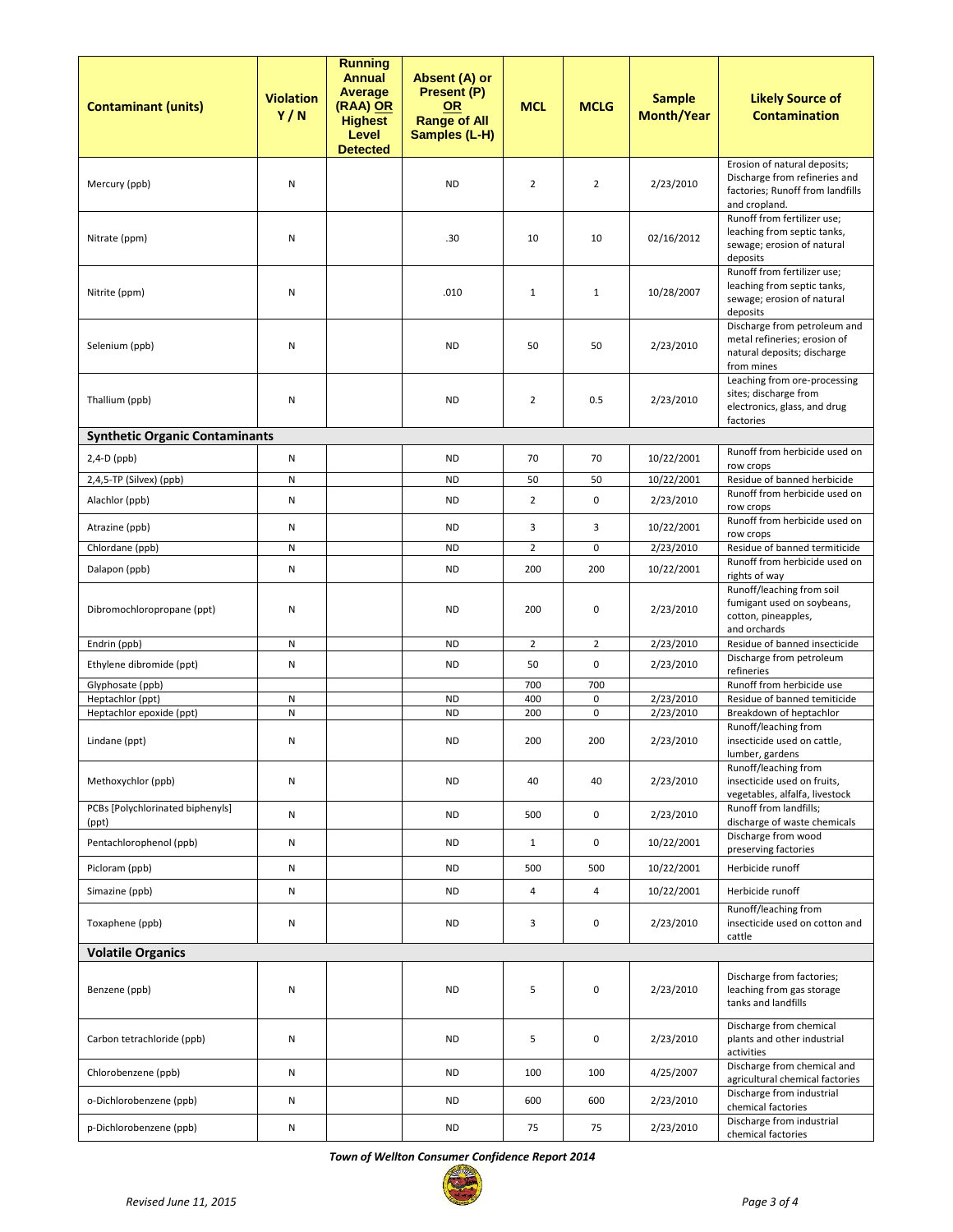| <b>Contaminant (units)</b>                   | <b>Violation</b><br>Y/N | <b>Running</b><br><b>Annual</b><br>Average<br>(RAA) OR<br><b>Highest</b><br>Level<br><b>Detected</b> | Absent (A) or<br>Present (P)<br><b>OR</b><br><b>Range of All</b><br>Samples (L-H) | <b>MCL</b>     | <b>MCLG</b>      | <b>Sample</b><br><b>Month/Year</b> | <b>Likely Source of</b><br><b>Contamination</b>                                                                    |
|----------------------------------------------|-------------------------|------------------------------------------------------------------------------------------------------|-----------------------------------------------------------------------------------|----------------|------------------|------------------------------------|--------------------------------------------------------------------------------------------------------------------|
| Mercury (ppb)                                | Ν                       |                                                                                                      | <b>ND</b>                                                                         | $\overline{2}$ | $\overline{2}$   | 2/23/2010                          | Erosion of natural deposits;<br>Discharge from refineries and<br>factories; Runoff from landfills<br>and cropland. |
| Nitrate (ppm)                                | Ν                       |                                                                                                      | .30                                                                               | 10             | 10               | 02/16/2012                         | Runoff from fertilizer use;<br>leaching from septic tanks,<br>sewage; erosion of natural<br>deposits               |
| Nitrite (ppm)                                | Ν                       |                                                                                                      | .010                                                                              | $\mathbf{1}$   | $\mathbf{1}$     | 10/28/2007                         | Runoff from fertilizer use;<br>leaching from septic tanks,<br>sewage; erosion of natural<br>deposits               |
| Selenium (ppb)                               | Ν                       |                                                                                                      | <b>ND</b>                                                                         | 50             | 50               | 2/23/2010                          | Discharge from petroleum and<br>metal refineries; erosion of<br>natural deposits; discharge<br>from mines          |
| Thallium (ppb)                               | Ν                       |                                                                                                      | <b>ND</b>                                                                         | $\overline{2}$ | 0.5              | 2/23/2010                          | Leaching from ore-processing<br>sites; discharge from<br>electronics, glass, and drug<br>factories                 |
| <b>Synthetic Organic Contaminants</b>        |                         |                                                                                                      |                                                                                   |                |                  |                                    |                                                                                                                    |
| $2,4-D$ (ppb)                                | N                       |                                                                                                      | <b>ND</b>                                                                         | 70             | 70               | 10/22/2001                         | Runoff from herbicide used on<br>row crops                                                                         |
| 2,4,5-TP (Silvex) (ppb)                      | N                       |                                                                                                      | <b>ND</b>                                                                         | 50             | 50               | 10/22/2001                         | Residue of banned herbicide                                                                                        |
| Alachlor (ppb)                               | Ν                       |                                                                                                      | <b>ND</b>                                                                         | $\overline{2}$ | 0                | 2/23/2010                          | Runoff from herbicide used on<br>row crops                                                                         |
| Atrazine (ppb)                               | Ν                       |                                                                                                      | <b>ND</b>                                                                         | 3              | 3                | 10/22/2001                         | Runoff from herbicide used on<br>row crops                                                                         |
| Chlordane (ppb)                              | N                       |                                                                                                      | <b>ND</b>                                                                         | $\overline{2}$ | 0                | 2/23/2010                          | Residue of banned termiticide                                                                                      |
| Dalapon (ppb)                                | Ν                       |                                                                                                      | <b>ND</b>                                                                         | 200            | 200              | 10/22/2001                         | Runoff from herbicide used on<br>rights of way                                                                     |
| Dibromochloropropane (ppt)                   | Ν                       |                                                                                                      | <b>ND</b>                                                                         | 200            | 0                | 2/23/2010                          | Runoff/leaching from soil<br>fumigant used on soybeans,<br>cotton, pineapples,<br>and orchards                     |
| Endrin (ppb)                                 | N                       |                                                                                                      | <b>ND</b>                                                                         | $\overline{2}$ | $\overline{2}$   | 2/23/2010                          | Residue of banned insecticide                                                                                      |
| Ethylene dibromide (ppt)                     | Ν                       |                                                                                                      | <b>ND</b>                                                                         | 50             | 0                | 2/23/2010                          | Discharge from petroleum<br>refineries                                                                             |
| Glyphosate (ppb)                             |                         |                                                                                                      |                                                                                   | 700            | 700              |                                    | Runoff from herbicide use                                                                                          |
| Heptachlor (ppt)<br>Heptachlor epoxide (ppt) | N<br>N                  |                                                                                                      | <b>ND</b><br><b>ND</b>                                                            | 400<br>200     | 0<br>$\mathbf 0$ | 2/23/2010<br>2/23/2010             | Residue of banned temiticide<br>Breakdown of heptachlor                                                            |
| Lindane (ppt)                                | Ν                       |                                                                                                      | ND                                                                                | 200            | 200              | 2/23/2010                          | Runoff/leaching from<br>insecticide used on cattle,<br>lumber, gardens                                             |
| Methoxychlor (ppb)                           | Ν                       |                                                                                                      | <b>ND</b>                                                                         | 40             | 40               | 2/23/2010                          | Runoff/leaching from<br>insecticide used on fruits,<br>vegetables, alfalfa, livestock                              |
| PCBs [Polychlorinated biphenyls]<br>(ppt)    | N                       |                                                                                                      | <b>ND</b>                                                                         | 500            | $\mathbf 0$      | 2/23/2010                          | Runoff from landfills;<br>discharge of waste chemicals                                                             |
| Pentachlorophenol (ppb)                      | N                       |                                                                                                      | <b>ND</b>                                                                         | $\mathbf{1}$   | 0                | 10/22/2001                         | Discharge from wood<br>preserving factories                                                                        |
| Picloram (ppb)                               | N                       |                                                                                                      | <b>ND</b>                                                                         | 500            | 500              | 10/22/2001                         | Herbicide runoff                                                                                                   |
| Simazine (ppb)                               | N                       |                                                                                                      | <b>ND</b>                                                                         | 4              | 4                | 10/22/2001                         | Herbicide runoff                                                                                                   |
| Toxaphene (ppb)                              | Ν                       |                                                                                                      | <b>ND</b>                                                                         | 3              | 0                | 2/23/2010                          | Runoff/leaching from<br>insecticide used on cotton and<br>cattle                                                   |
| <b>Volatile Organics</b>                     |                         |                                                                                                      |                                                                                   |                |                  |                                    |                                                                                                                    |
| Benzene (ppb)                                | Ν                       |                                                                                                      | <b>ND</b>                                                                         | 5              | $\mathbf 0$      | 2/23/2010                          | Discharge from factories;<br>leaching from gas storage<br>tanks and landfills                                      |
| Carbon tetrachloride (ppb)                   | Ν                       |                                                                                                      | <b>ND</b>                                                                         | 5              | $\mathbf 0$      | 2/23/2010                          | Discharge from chemical<br>plants and other industrial<br>activities                                               |
| Chlorobenzene (ppb)                          | N                       |                                                                                                      | <b>ND</b>                                                                         | 100            | 100              | 4/25/2007                          | Discharge from chemical and<br>agricultural chemical factories                                                     |
| o-Dichlorobenzene (ppb)                      | N                       |                                                                                                      | <b>ND</b>                                                                         | 600            | 600              | 2/23/2010                          | Discharge from industrial<br>chemical factories                                                                    |
| p-Dichlorobenzene (ppb)                      | Ν                       |                                                                                                      | <b>ND</b>                                                                         | 75             | 75               | 2/23/2010                          | Discharge from industrial<br>chemical factories                                                                    |

*Town of Wellton Consumer Confidence Report 2014*